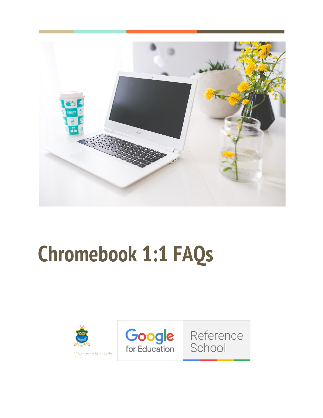

# **Chromebook 1:1 FAQs**

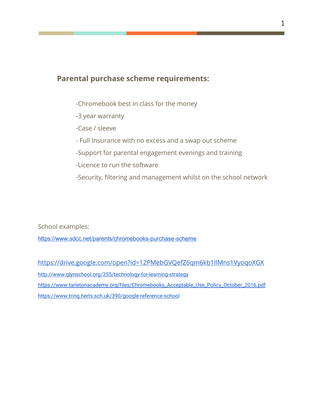## **Parental purchase scheme requirements:**

- -Chromebook best in class for the money
- -3 year warranty
- -Case / sleeve
- Full Insurance with no excess and a swap out scheme
- -Support for parental engagement evenings and training
- -Licence to run the software
- -Security, filtering and management whilst on the school network

School examples:

<https://www.sdcc.net/parents/chromebooks-purchase-scheme>

<https://drive.google.com/open?id=12PMebGVQefZ6qm6kb1IlMns1VyoqoXGX> <http://www.glynschool.org/355/technology-for-learning-strategy> [https://www.tarletonacademy.org/files/Chromebooks\\_Acceptable\\_Use\\_Policy\\_October\\_2016.pdf](https://www.tarletonacademy.org/files/Chromebooks_Acceptable_Use_Policy_October_2016.pdf) <https://www.tring.herts.sch.uk/390/google-reference-school>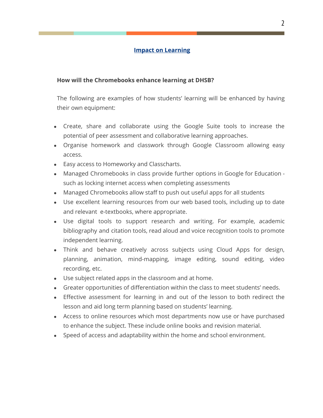## **Impact on Learning**

#### **How will the Chromebooks enhance learning at DHSB?**

The following are examples of how students' learning will be enhanced by having their own equipment:

- Create, share and collaborate using the Google Suite tools to increase the potential of peer assessment and collaborative learning approaches.
- Organise homework and classwork through Google Classroom allowing easy access.
- Easy access to Homeworky and Classcharts.
- Managed Chromebooks in class provide further options in Google for Education such as locking internet access when completing assessments
- Managed Chromebooks allow staff to push out useful apps for all students
- Use excellent learning resources from our web based tools, including up to date and relevant e-textbooks, where appropriate.
- Use digital tools to support research and writing. For example, academic bibliography and citation tools, read aloud and voice recognition tools to promote independent learning.
- Think and behave creatively across subjects using Cloud Apps for design, planning, animation, mind-mapping, image editing, sound editing, video recording, etc.
- Use subject related apps in the classroom and at home.
- Greater opportunities of differentiation within the class to meet students' needs.
- Effective assessment for learning in and out of the lesson to both redirect the lesson and aid long term planning based on students' learning.
- Access to online resources which most departments now use or have purchased to enhance the subject. These include online books and revision material.
- Speed of access and adaptability within the home and school environment.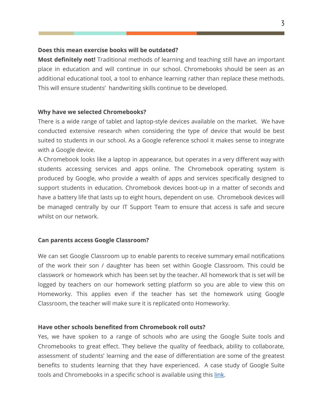#### **Does this mean exercise books will be outdated?**

**Most definitely not!** Traditional methods of learning and teaching still have an important place in education and will continue in our school. Chromebooks should be seen as an additional educational tool, a tool to enhance learning rather than replace these methods. This will ensure students' handwriting skills continue to be developed.

#### **Why have we selected Chromebooks?**

There is a wide range of tablet and laptop-style devices available on the market. We have conducted extensive research when considering the type of device that would be best suited to students in our school. As a Google reference school it makes sense to integrate with a Google device.

A Chromebook looks like a laptop in appearance, but operates in a very different way with students accessing services and apps online. The Chromebook operating system is produced by Google, who provide a wealth of apps and services specifically designed to support students in education. Chromebook devices boot-up in a matter of seconds and have a battery life that lasts up to eight hours, dependent on use. Chromebook devices will be managed centrally by our IT Support Team to ensure that access is safe and secure whilst on our network.

#### **Can parents access Google Classroom?**

We can set Google Classroom up to enable parents to receive summary email notifications of the work their son / daughter has been set within Google Classroom. This could be classwork or homework which has been set by the teacher. All homework that is set will be logged by teachers on our homework setting platform so you are able to view this on Homeworky. This applies even if the teacher has set the homework using Google Classroom, the teacher will make sure it is replicated onto Homeworky.

#### **Have other schools benefited from Chromebook roll outs?**

Yes, we have spoken to a range of schools who are using the Google Suite tools and Chromebooks to great effect. They believe the quality of feedback, ability to collaborate, assessment of students' learning and the ease of differentiation are some of the greatest benefits to students learning that they have experienced. A case study of Google Suite tools and Chromebooks in a specific school is available using this [link](https://drive.google.com/file/d/1pGkIvF7D6bHlRQJgK1K8B8IZSG43JpCd/view?usp=sharing).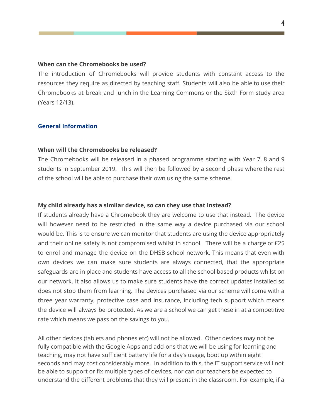#### **When can the Chromebooks be used?**

The introduction of Chromebooks will provide students with constant access to the resources they require as directed by teaching staff. Students will also be able to use their Chromebooks at break and lunch in the Learning Commons or the Sixth Form study area (Years 12/13).

#### **General Information**

#### **When will the Chromebooks be released?**

The Chromebooks will be released in a phased programme starting with Year 7, 8 and 9 students in September 2019. This will then be followed by a second phase where the rest of the school will be able to purchase their own using the same scheme.

#### **My child already has a similar device, so can they use that instead?**

If students already have a Chromebook they are welcome to use that instead. The device will however need to be restricted in the same way a device purchased via our school would be. This is to ensure we can monitor that students are using the device appropriately and their online safety is not compromised whilst in school. There will be a charge of £25 to enrol and manage the device on the DHSB school network. This means that even with own devices we can make sure students are always connected, that the appropriate safeguards are in place and students have access to all the school based products whilst on our network. It also allows us to make sure students have the correct updates installed so does not stop them from learning. The devices purchased via our scheme will come with a three year warranty, protective case and insurance, including tech support which means the device will always be protected. As we are a school we can get these in at a competitive rate which means we pass on the savings to you.

All other devices (tablets and phones etc) will not be allowed. Other devices may not be fully compatible with the Google Apps and add-ons that we will be using for learning and teaching, may not have sufficient battery life for a day's usage, boot up within eight seconds and may cost considerably more. In addition to this, the IT support service will not be able to support or fix multiple types of devices, nor can our teachers be expected to understand the different problems that they will present in the classroom. For example, if a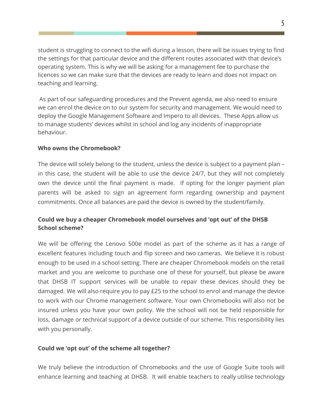student is struggling to connect to the wifi during a lesson, there will be issues trying to find the settings for that particular device and the different routes associated with that device's operating system. This is why we will be asking for a management fee to purchase the licences so we can make sure that the devices are ready to learn and does not impact on teaching and learning.

 As part of our safeguarding procedures and the Prevent agenda, we also need to ensure we can enrol the device on to our system for security and management. We would need to deploy the Google Management Software and Impero to all devices. These Apps allow us to manage students' devices whilst in school and log any incidents of inappropriate behaviour.

## **Who owns the Chromebook?**

The device will solely belong to the student, unless the device is subject to a payment plan – in this case, the student will be able to use the device 24/7, but they will not completely own the device until the final payment is made. If opting for the longer payment plan parents will be asked to sign an agreement form regarding ownership and payment commitments. Once all balances are paid the device is owned by the student/family.

## **Could we buy a cheaper Chromebook model ourselves and 'opt out' of the DHSB School scheme?**

We will be offering the Lenovo 500e model as part of the scheme as it has a range of excellent features including touch and flip screen and two cameras. We believe it is robust enough to be used in a school setting. There are cheaper Chromebook models on the retail market and you are welcome to purchase one of these for yourself, but please be aware that DHSB IT support services will be unable to repair these devices should they be damaged. We will also require you to pay £25 to the school to enrol and manage the device to work with our Chrome management software. Your own Chromebooks will also not be insured unless you have your own policy. We the school will not be held responsible for loss, damage or technical support of a device outside of our scheme. This responsibility lies with you personally.

## **Could we 'opt out' of the scheme all together?**

We truly believe the introduction of Chromebooks and the use of Google Suite tools will enhance learning and teaching at DHSB. It will enable teachers to really utilise technology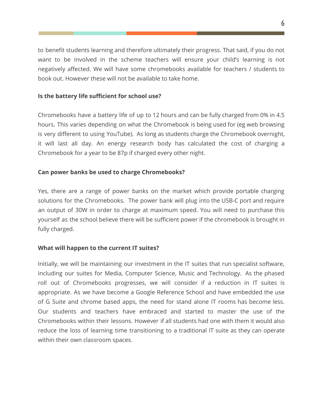to benefit students learning and therefore ultimately their progress. That said, if you do not want to be involved in the scheme teachers will ensure your child's learning is not negatively affected. We will have some chromebooks available for teachers / students to book out. However these will not be available to take home.

## **Is the battery life sufficient for school use?**

Chromebooks have a battery life of up to 12 hours and can be fully charged from 0% in 4.5 hours. This varies depending on what the Chromebook is being used for (eg web browsing is very different to using YouTube). As long as students charge the Chromebook overnight, it will last all day. An energy research body has calculated the cost of charging a Chromebook for a year to be 87p if charged every other night.

#### **Can power banks be used to charge Chromebooks?**

Yes, there are a range of power banks on the market which provide portable charging solutions for the Chromebooks. The power bank will plug into the USB-C port and require an output of 30W in order to charge at maximum speed. You will need to purchase this yourself as the school believe there will be sufficient power if the chromebook is brought in fully charged.

## **What will happen to the current IT suites?**

Initially, we will be maintaining our investment in the IT suites that run specialist software, including our suites for Media, Computer Science, Music and Technology. As the phased roll out of Chromebooks progresses, we will consider if a reduction in IT suites is appropriate. As we have become a Google Reference School and have embedded the use of G Suite and chrome based apps, the need for stand alone IT rooms has become less. Our students and teachers have embraced and started to master the use of the Chromebooks within their lessons. However if all students had one with them it would also reduce the loss of learning time transitioning to a traditional IT suite as they can operate within their own classroom spaces.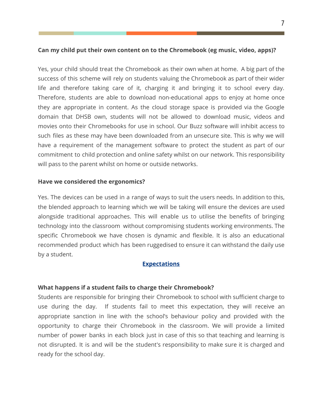## **Can my child put their own content on to the Chromebook (eg music, video, apps)?**

Yes, your child should treat the Chromebook as their own when at home. A big part of the success of this scheme will rely on students valuing the Chromebook as part of their wider life and therefore taking care of it, charging it and bringing it to school every day. Therefore, students are able to download non-educational apps to enjoy at home once they are appropriate in content. As the cloud storage space is provided via the Google domain that DHSB own, students will not be allowed to download music, videos and movies onto their Chromebooks for use in school. Our Buzz software will inhibit access to such files as these may have been downloaded from an unsecure site. This is why we will have a requirement of the management software to protect the student as part of our commitment to child protection and online safety whilst on our network. This responsibility will pass to the parent whilst on home or outside networks.

## **Have we considered the ergonomics?**

Yes. The devices can be used in a range of ways to suit the users needs. In addition to this, the blended approach to learning which we will be taking will ensure the devices are used alongside traditional approaches. This will enable us to utilise the benefits of bringing technology into the classroom without compromising students working environments. The specific Chromebook we have chosen is dynamic and flexible. It is also an educational recommended product which has been ruggedised to ensure it can withstand the daily use by a student.

#### **Expectations**

## **What happens if a student fails to charge their Chromebook?**

Students are responsible for bringing their Chromebook to school with sufficient charge to use during the day. If students fail to meet this expectation, they will receive an appropriate sanction in line with the school's behaviour policy and provided with the opportunity to charge their Chromebook in the classroom. We will provide a limited number of power banks in each block just in case of this so that teaching and learning is not disrupted. It is and will be the student's responsibility to make sure it is charged and ready for the school day.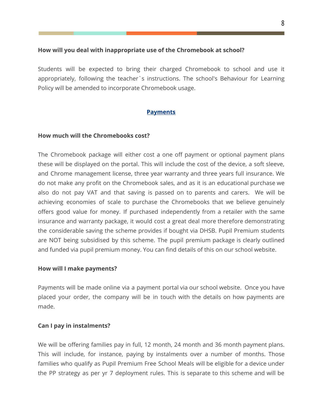## **How will you deal with inappropriate use of the Chromebook at school?**

Students will be expected to bring their charged Chromebook to school and use it appropriately, following the teacher`s instructions. The school's Behaviour for Learning Policy will be amended to incorporate Chromebook usage.

## **Payments**

## **How much will the Chromebooks cost?**

The Chromebook package will either cost a one off payment or optional payment plans these will be displayed on the portal. This will include the cost of the device, a soft sleeve, and Chrome management license, three year warranty and three years full insurance. We do not make any profit on the Chromebook sales, and as it is an educational purchase we also do not pay VAT and that saving is passed on to parents and carers. We will be achieving economies of scale to purchase the Chromebooks that we believe genuinely offers good value for money. If purchased independently from a retailer with the same insurance and warranty package, it would cost a great deal more therefore demonstrating the considerable saving the scheme provides if bought via DHSB. Pupil Premium students are NOT being subsidised by this scheme. The pupil premium package is clearly outlined and funded via pupil premium money. You can find details of this on our school website.

## **How will I make payments?**

Payments will be made online via a payment portal via our school website. Once you have placed your order, the company will be in touch with the details on how payments are made.

## **Can I pay in instalments?**

We will be offering families pay in full, 12 month, 24 month and 36 month payment plans. This will include, for instance, paying by instalments over a number of months. Those families who qualify as Pupil Premium Free School Meals will be eligible for a device under the PP strategy as per yr 7 deployment rules. This is separate to this scheme and will be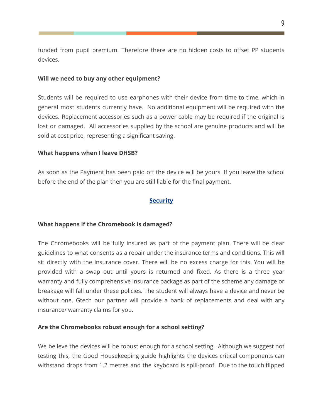funded from pupil premium. Therefore there are no hidden costs to offset PP students devices.

#### **Will we need to buy any other equipment?**

Students will be required to use earphones with their device from time to time, which in general most students currently have. No additional equipment will be required with the devices. Replacement accessories such as a power cable may be required if the original is lost or damaged. All accessories supplied by the school are genuine products and will be sold at cost price, representing a significant saving.

#### **What happens when I leave DHSB?**

As soon as the Payment has been paid off the device will be yours. If you leave the school before the end of the plan then you are still liable for the final payment.

#### **Security**

#### **What happens if the Chromebook is damaged?**

The Chromebooks will be fully insured as part of the payment plan. There will be clear guidelines to what consents as a repair under the insurance terms and conditions. This will sit directly with the insurance cover. There will be no excess charge for this. You will be provided with a swap out until yours is returned and fixed. As there is a three year warranty and fully comprehensive insurance package as part of the scheme any damage or breakage will fall under these policies. The student will always have a device and never be without one. Gtech our partner will provide a bank of replacements and deal with any insurance/ warranty claims for you.

#### **Are the Chromebooks robust enough for a school setting?**

We believe the devices will be robust enough for a school setting. Although we suggest not testing this, the Good Housekeeping guide highlights the devices critical components can withstand drops from 1.2 metres and the keyboard is spill-proof. Due to the touch flipped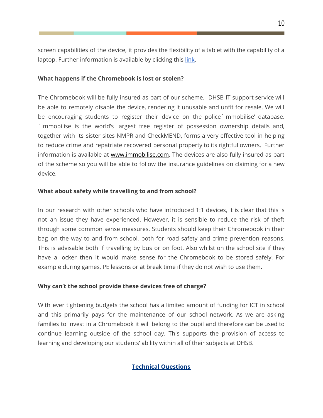screen capabilities of the device, it provides the flexibility of a tablet with the capability of a laptop. Further information is available by clicking thi[s](https://www.lenovo.com/gb/en/laptops/lenovo/student-chromebooks/500e-Chromebook/p/88ELC1S9998) [link](https://www.lenovo.com/gb/en/laptops/lenovo/student-chromebooks/500e-Chromebook/p/88ELC1S9998).

## **What happens if the Chromebook is lost or stolen?**

The Chromebook will be fully insured as part of our scheme. DHSB IT support service will be able to remotely disable the device, rendering it unusable and unfit for resale. We will be encouraging students to register their device on the police`Immobilise' database. `Immobilise is the world's largest free register of possession ownership details and, together with its sister sites NMPR and CheckMEND, forms a very effective tool in helping to reduce crime and repatriate recovered personal property to its rightful owners. Further information is available at [www.immobilise.com](http://www.immobilise.com/). The devices are also fully insured as part of the scheme so you will be able to follow the insurance guidelines on claiming for a new device.

## **What about safety while travelling to and from school?**

In our research with other schools who have introduced 1:1 devices, it is clear that this is not an issue they have experienced. However, it is sensible to reduce the risk of theft through some common sense measures. Students should keep their Chromebook in their bag on the way to and from school, both for road safety and crime prevention reasons. This is advisable both if travelling by bus or on foot. Also whilst on the school site if they have a locker then it would make sense for the Chromebook to be stored safely. For example during games, PE lessons or at break time if they do not wish to use them.

## **Why can't the school provide these devices free of charge?**

With ever tightening budgets the school has a limited amount of funding for ICT in school and this primarily pays for the maintenance of our school network. As we are asking families to invest in a Chromebook it will belong to the pupil and therefore can be used to continue learning outside of the school day. This supports the provision of access to learning and developing our students' ability within all of their subjects at DHSB.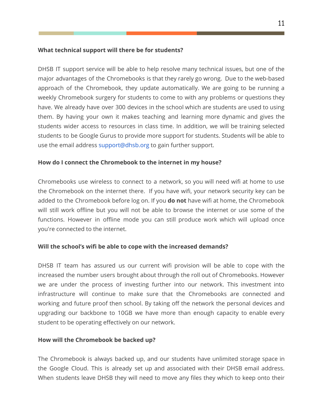## **What technical support will there be for students?**

DHSB IT support service will be able to help resolve many technical issues, but one of the major advantages of the Chromebooks is that they rarely go wrong. Due to the web-based approach of the Chromebook, they update automatically. We are going to be running a weekly Chromebook surgery for students to come to with any problems or questions they have. We already have over 300 devices in the school which are students are used to using them. By having your own it makes teaching and learning more dynamic and gives the students wider access to resources in class time. In addition, we will be training selected students to be Google Gurus to provide more support for students. Students will be able to use the email address support@dhsb.org to gain further support.

## **How do I connect the Chromebook to the internet in my house?**

Chromebooks use wireless to connect to a network, so you will need wifi at home to use the Chromebook on the internet there. If you have wifi, your network security key can be added to the Chromebook before log on. If you **do not** have wifi at home, the Chromebook will still work offline but you will not be able to browse the internet or use some of the functions. However in offline mode you can still produce work which will upload once you're connected to the internet.

## **Will the school's wifi be able to cope with the increased demands?**

DHSB IT team has assured us our current wifi provision will be able to cope with the increased the number users brought about through the roll out of Chromebooks. However we are under the process of investing further into our network. This investment into infrastructure will continue to make sure that the Chromebooks are connected and working and future proof then school. By taking off the network the personal devices and upgrading our backbone to 10GB we have more than enough capacity to enable every student to be operating effectively on our network.

## **How will the Chromebook be backed up?**

The Chromebook is always backed up, and our students have unlimited storage space in the Google Cloud. This is already set up and associated with their DHSB email address. When students leave DHSB they will need to move any files they which to keep onto their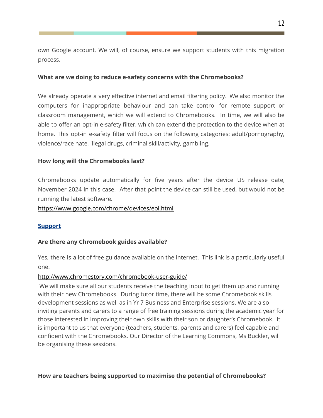own Google account. We will, of course, ensure we support students with this migration process.

#### **What are we doing to reduce e-safety concerns with the Chromebooks?**

We already operate a very effective internet and email filtering policy. We also monitor the computers for inappropriate behaviour and can take control for remote support or classroom management, which we will extend to Chromebooks. In time, we will also be able to offer an opt-in e-safety filter, which can extend the protection to the device when at home. This opt-in e-safety filter will focus on the following categories: adult/pornography, violence/race hate, illegal drugs, criminal skill/activity, gambling.

#### **How long will the Chromebooks last?**

Chromebooks update automatically for five years after the device US release date, November 2024 in this case. After that point the device can still be used, but would not be running the latest software.

#### <https://www.google.com/chrome/devices/eol.html>

## **Support**

## **Are there any Chromebook guides available?**

Yes, there is a lot of free guidance available on the internet. This link is a particularly useful one:

#### <http://www.chromestory.com/chromebook-user-guide/>

 We will make sure all our students receive the teaching input to get them up and running with their new Chromebooks. During tutor time, there will be some Chromebook skills development sessions as well as in Yr 7 Business and Enterprise sessions. We are also inviting parents and carers to a range of free training sessions during the academic year for those interested in improving their own skills with their son or daughter's Chromebook. It is important to us that everyone (teachers, students, parents and carers) feel capable and confident with the Chromebooks. Our Director of the Learning Commons, Ms Buckler, will be organising these sessions.

## **How are teachers being supported to maximise the potential of Chromebooks?**